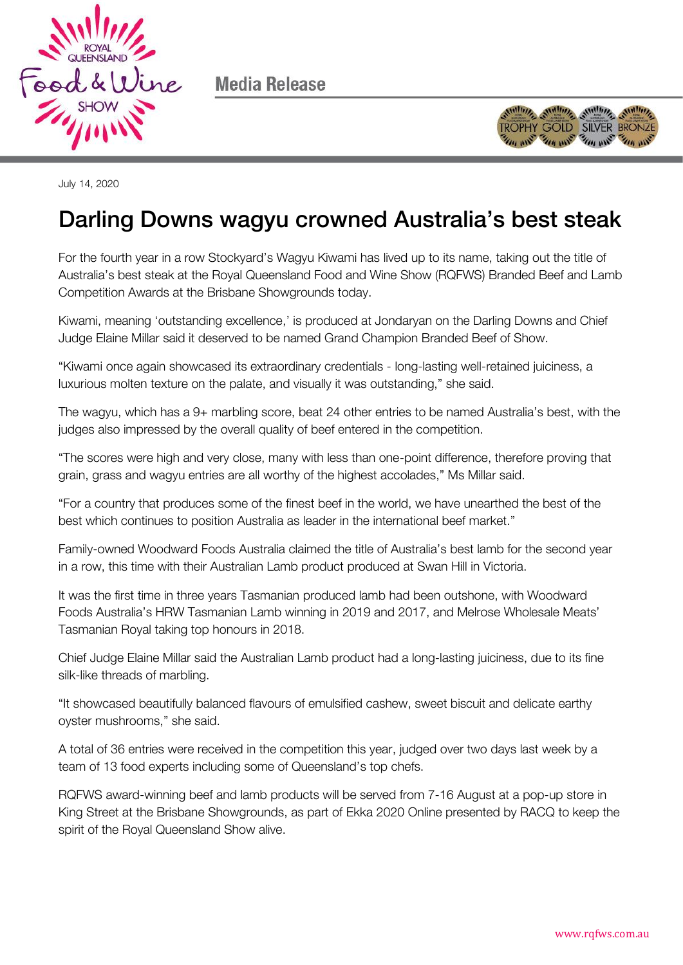

Media Release



July 14, 2020

# Darling Downs wagyu crowned Australia's best steak

For the fourth year in a row Stockyard's Wagyu Kiwami has lived up to its name, taking out the title of Australia's best steak at the Royal Queensland Food and Wine Show (RQFWS) Branded Beef and Lamb Competition Awards at the Brisbane Showgrounds today.

Kiwami, meaning 'outstanding excellence,' is produced at Jondaryan on the Darling Downs and Chief Judge Elaine Millar said it deserved to be named Grand Champion Branded Beef of Show.

"Kiwami once again showcased its extraordinary credentials - long-lasting well-retained juiciness, a luxurious molten texture on the palate, and visually it was outstanding," she said.

The wagyu, which has a 9+ marbling score, beat 24 other entries to be named Australia's best, with the judges also impressed by the overall quality of beef entered in the competition.

"The scores were high and very close, many with less than one-point difference, therefore proving that grain, grass and wagyu entries are all worthy of the highest accolades," Ms Millar said.

"For a country that produces some of the finest beef in the world, we have unearthed the best of the best which continues to position Australia as leader in the international beef market."

Family-owned Woodward Foods Australia claimed the title of Australia's best lamb for the second year in a row, this time with their Australian Lamb product produced at Swan Hill in Victoria.

It was the first time in three years Tasmanian produced lamb had been outshone, with Woodward Foods Australia's HRW Tasmanian Lamb winning in 2019 and 2017, and Melrose Wholesale Meats' Tasmanian Royal taking top honours in 2018.

Chief Judge Elaine Millar said the Australian Lamb product had a long-lasting juiciness, due to its fine silk-like threads of marbling.

"It showcased beautifully balanced flavours of emulsified cashew, sweet biscuit and delicate earthy oyster mushrooms," she said.

A total of 36 entries were received in the competition this year, judged over two days last week by a team of 13 food experts including some of Queensland's top chefs.

RQFWS award-winning beef and lamb products will be served from 7-16 August at a pop-up store in King Street at the Brisbane Showgrounds, as part of Ekka 2020 Online presented by RACQ to keep the spirit of the Royal Queensland Show alive.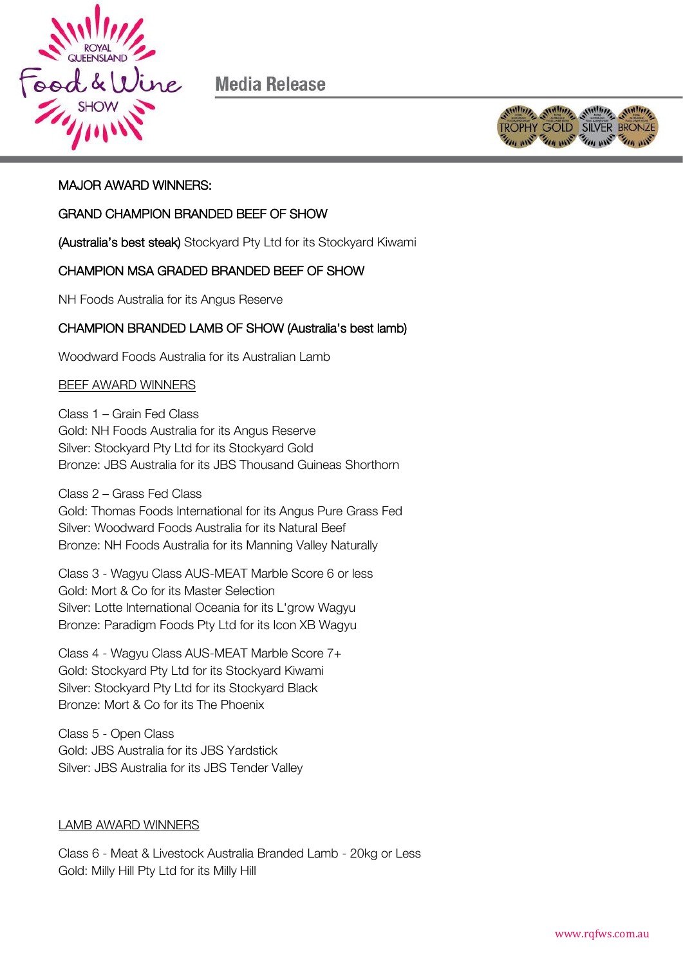

Media Release



# MAJOR AWARD WINNERS:

## GRAND CHAMPION BRANDED BEEF OF SHOW

(Australia's best steak) Stockyard Pty Ltd for its Stockyard Kiwami

# CHAMPION MSA GRADED BRANDED BEEF OF SHOW

NH Foods Australia for its Angus Reserve

## CHAMPION BRANDED LAMB OF SHOW (Australia's best lamb)

Woodward Foods Australia for its Australian Lamb

### BEEF AWARD WINNERS

Class 1 – Grain Fed Class Gold: NH Foods Australia for its Angus Reserve Silver: Stockyard Pty Ltd for its Stockyard Gold Bronze: JBS Australia for its JBS Thousand Guineas Shorthorn

Class 2 – Grass Fed Class

Gold: Thomas Foods International for its Angus Pure Grass Fed Silver: Woodward Foods Australia for its Natural Beef Bronze: NH Foods Australia for its Manning Valley Naturally

Class 3 - Wagyu Class AUS-MEAT Marble Score 6 or less Gold: Mort & Co for its Master Selection Silver: Lotte International Oceania for its L'grow Wagyu Bronze: Paradigm Foods Pty Ltd for its Icon XB Wagyu

Class 4 - Wagyu Class AUS-MEAT Marble Score 7+ Gold: Stockyard Pty Ltd for its Stockyard Kiwami Silver: Stockyard Pty Ltd for its Stockyard Black Bronze: Mort & Co for its The Phoenix

Class 5 - Open Class Gold: JBS Australia for its JBS Yardstick Silver: JBS Australia for its JBS Tender Valley

### LAMB AWARD WINNERS

Class 6 - Meat & Livestock Australia Branded Lamb - 20kg or Less Gold: Milly Hill Pty Ltd for its Milly Hill